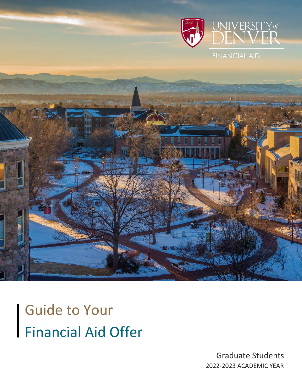

**FINANCIAL AID** 



 Guide to Your Financial Aid Offer

> Graduate Students 2022-2023 ACADEMIC YEAR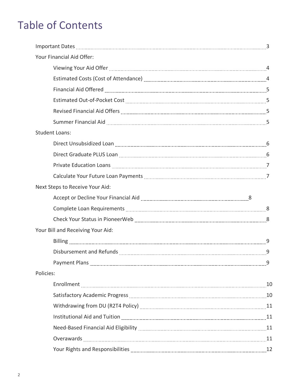# Table of Contents

| Your Financial Aid Offer:                                                                                                                                                                                                      |  |
|--------------------------------------------------------------------------------------------------------------------------------------------------------------------------------------------------------------------------------|--|
| Viewing Your Aid Offer [11, 12] March 2014 10: 44 Million 2015 10: 45 Million 2016 10: 45 Million 2016 10: 46                                                                                                                  |  |
|                                                                                                                                                                                                                                |  |
| Financial Aid Offered [11, 120] [120] [120] [120] [120] [120] [120] [120] [120] [120] [120] [120] [120] [120] [                                                                                                                |  |
|                                                                                                                                                                                                                                |  |
| Revised Financial Aid Offers [111] New York 2014 15: 2014                                                                                                                                                                      |  |
|                                                                                                                                                                                                                                |  |
| <b>Student Loans:</b>                                                                                                                                                                                                          |  |
|                                                                                                                                                                                                                                |  |
|                                                                                                                                                                                                                                |  |
|                                                                                                                                                                                                                                |  |
|                                                                                                                                                                                                                                |  |
| Next Steps to Receive Your Aid:                                                                                                                                                                                                |  |
|                                                                                                                                                                                                                                |  |
|                                                                                                                                                                                                                                |  |
| Check Your Status in PioneerWeb [11] [12] Check Your Status in PioneerWeb [11] [12] [12] [12] [12] [12] [12] [                                                                                                                 |  |
| Your Bill and Receiving Your Aid:                                                                                                                                                                                              |  |
|                                                                                                                                                                                                                                |  |
|                                                                                                                                                                                                                                |  |
|                                                                                                                                                                                                                                |  |
| Policies:                                                                                                                                                                                                                      |  |
|                                                                                                                                                                                                                                |  |
| Satisfactory Academic Progress [1001] Satisfactory Academic Progress [1001] Manuscritt, 2004. [1001] Manuscrit                                                                                                                 |  |
|                                                                                                                                                                                                                                |  |
| Institutional Aid and Tuition [11] Institution and Tuition and Tuition and Tuition and Tuition and Tuition and Tuition and Tuition and Tuition and Tuition and Tuition and Tuition and Tuition and Tuition and Tuition and Tui |  |
|                                                                                                                                                                                                                                |  |
|                                                                                                                                                                                                                                |  |
| Your Rights and Responsibilities [11, 2014] Your Rights and Responsibilities [12] Management Counter and Management Counter and Management Counter and Management Counter and Management Counter and Management Counter and Ma |  |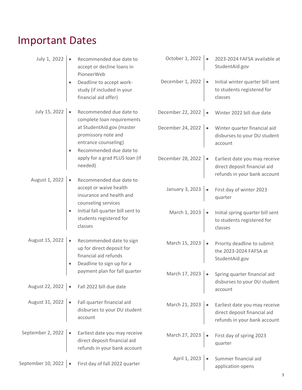# Important Dates

| July 1, 2022                 | Recommended due date to<br>accept or decline loans in<br>PioneerWeb                                              | October 1, 2022     | 2023-2024 FAFSA available at<br>StudentAid.gov                                                                 |
|------------------------------|------------------------------------------------------------------------------------------------------------------|---------------------|----------------------------------------------------------------------------------------------------------------|
|                              | Deadline to accept work-<br>study (if included in your<br>financial aid offer)                                   | December 1, 2022    | Initial winter quarter bill sent<br>to students registered for<br>classes                                      |
| July 15, 2022                | Recommended due date to<br>$\bullet$<br>complete loan requirements                                               | December 22, 2022 . | Winter 2022 bill due date                                                                                      |
|                              | at StudentAid.gov (master<br>promissory note and<br>entrance counseling)<br>Recommended due date to              | December 24, 2022   | Winter quarter financial aid<br>disburses to your DU student<br>account                                        |
| August 1, 2022               | apply for a grad PLUS loan (if<br>needed)<br>Recommended due date to                                             | December 28, 2022   | Earliest date you may receive<br>direct deposit financial aid<br>refunds in your bank account                  |
|                              | $\bullet$<br>accept or waive health<br>insurance and health and<br>counseling services                           | January 3, 2023     | First day of winter 2023<br>quarter                                                                            |
|                              | Initial fall quarter bill sent to<br>students registered for<br>classes                                          | March 1, 2023       | Initial spring quarter bill sent<br>to students registered for<br>classes                                      |
| August 15, 2022              | Recommended date to sign<br>٠<br>up for direct deposit for<br>financial aid refunds<br>Deadline to sign up for a | March 15, 2023      | Priority deadline to submit<br>the 2023-2024 FAFSA at<br>StudentAid.gov                                        |
|                              | payment plan for fall quarter                                                                                    | March 17, 2023      | Spring quarter financial aid<br>disburses to your DU student                                                   |
|                              | August 22, 2022   · Fall 2022 bill due date                                                                      |                     | account                                                                                                        |
| August 31, 2022              | Fall quarter financial aid<br>disburses to your DU student<br>account                                            |                     | March 21, 2023 • Earliest date you may receive<br>direct deposit financial aid<br>refunds in your bank account |
| September 2, 2022   •        | Earliest date you may receive<br>direct deposit financial aid<br>refunds in your bank account                    | March 27, 2023      | First day of spring 2023<br>quarter                                                                            |
| September 10, 2022 $\bullet$ | First day of fall 2022 quarter                                                                                   | April 1, 2023   ·   | Summer financial aid<br>application opens                                                                      |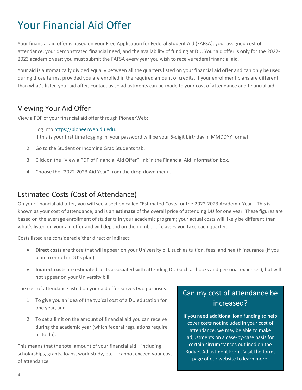# Your Financial Aid Offer

Your financial aid offer is based on your Free Application for Federal Student Aid (FAFSA), your assigned cost of attendance, your demonstrated financial need, and the availability of funding at DU. Your aid offer is only for the 2022- 2023 academic year; you must submit the FAFSA every year you wish to receive federal financial aid.

Your aid is automatically divided equally between all the quarters listed on your financial aid offer and can only be used during those terms, provided you are enrolled in the required amount of credits. If your enrollment plans are different than what's listed your aid offer, contact us so adjustments can be made to your cost of attendance and financial aid.

#### Viewing Your Aid Offer

View a PDF of your financial aid offer through PioneerWeb:

- 1. Log into [https://pioneerweb.du.edu.](https://pioneerweb.du.edu/) If this is your first time logging in, your password will be your 6-digit birthday in MMDDYY format.
- 2. Go to the Student or Incoming Grad Students tab.
- 3. Click on the "View a PDF of Financial Aid Offer" link in the Financial Aid Information box.
- 4. Choose the "2022-2023 Aid Year" from the drop-down menu.

#### Estimated Costs (Cost of Attendance)

On your financial aid offer, you will see a section called "Estimated Costs for the 2022-2023 Academic Year." This is known as your cost of attendance, and is an **estimate** of the overall price of attending DU for one year. These figures are based on the average enrollment of students in your academic program; your actual costs will likely be different than what's listed on your aid offer and will depend on the number of classes you take each quarter.

Costs listed are considered either direct or indirect:

- **Direct costs** are those that will appear on your University bill, such as tuition, fees, and health insurance (if you plan to enroll in DU's plan).
- **Indirect costs** are estimated costs associated with attending DU (such as books and personal expenses), but will not appear on your University bill.

The cost of attendance listed on your aid offer serves two purposes:

- 1. To give you an idea of the typical cost of a DU education for one year, and
- 2. To set a limit on the amount of financial aid you can receive during the academic year (which federal regulations require us to do).

This means that the total amount of your financial aid—including scholarships, grants, loans, work-study, etc.—cannot exceed your cost of attendance.

## Can my cost of attendance be increased?

If you need additional loan funding to help cover costs not included in your cost of attendance, we may be able to make adjustments on a case-by-case basis for certain circumstances outlined on the Budget Adjustment Form. Visit th[e forms](https://www.du.edu/admission-aid/financial-aid-scholarships/graduate-financial-aid/forms) [page o](https://www.du.edu/admission-aid/financial-aid-scholarships/graduate-financial-aid/forms)f our website to learn more.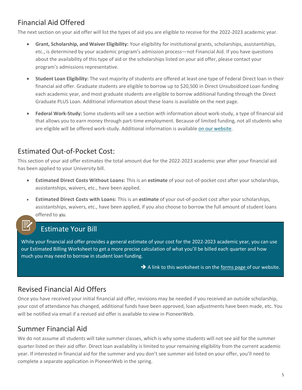# Financial Aid Offered

The next section on your aid offer will list the types of aid you are eligible to receive for the 2022-2023 academic year.

- **Grant, Scholarship, and Waiver Eligibility:** Your eligibility for institutional grants, scholarships, assistantships, etc., is determined by your academic program's admission process—not Financial Aid. If you have questions about the availability of this type of aid or the scholarships listed on your aid offer, please contact your program's admissions representative.
- **Student Loan Eligibility:** The vast majority of students are offered at least one type of Federal Direct loan in their financial aid offer. Graduate students are eligible to borrow up to \$20,500 in Direct Unsubsidized Loan funding each academic year, and most graduate students are eligible to borrow additional funding through the Direct Graduate PLUS Loan. Additional information about these loans is available on the next page.
- **Federal Work-Study:** Some students will see a section with information about work-study, a type of financial aid that allows you to earn money through part-time employment. Because of limited funding, not all students who are eligible will be offered work-study. Additional information is available [on our website.](https://www.du.edu/admission-aid/financial-aid-scholarships/graduate-financial-aid/types-aid/work-study)

## Estimated Out-of-Pocket Cost:

This section of your aid offer estimates the total amount due for the 2022-2023 academic year after your financial aid has been applied to your University bill.

- **Estimated Direct Costs Without Loans:** This is an **estimate** of your out-of-pocket cost after your scholarships, assistantships, waivers, etc., have been applied.
- **Estimated Direct Costs with Loans:** This is an **estimate** of your out-of-pocket cost after your scholarships, assistantships, waivers, etc., have been applied, if you also choose to borrow the full amount of student loans offered to you.

## Estimate Your Bill

While your financial aid offer provides a general estimate of your cost for the 2022-2023 academic year, you can use our Estimated Billing Worksheet to get a more precise calculation of what you'll be billed each quarter and how much you may need to borrow in student loan funding.

 $\rightarrow$  A link to this worksheet is on th[e forms page o](https://www.du.edu/admission-aid/financial-aid-scholarships/graduate-financial-aid/forms)f our website.

## Revised Financial Aid Offers

Once you have received your initial financial aid offer, revisions may be needed if you received an outside scholarship, your cost of attendance has changed, additional funds have been approved, loan adjustments have been made, etc. You will be notified via email if a revised aid offer is available to view in PioneerWeb.

### Summer Financial Aid

We do not assume all students will take summer classes, which is why some students will not see aid for the summer quarter listed on their aid offer. Direct loan availability is limited to your remaining eligibility from the current academic year. If interested in financial aid for the summer and you don't see summer aid listed on your offer, you'll need to complete a separate application in PioneerWeb in the spring.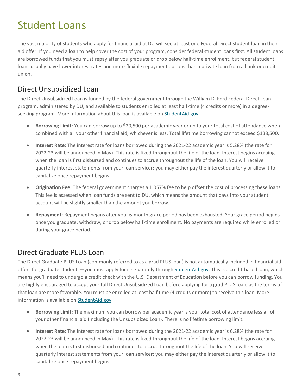# Student Loans

The vast majority of students who apply for financial aid at DU will see at least one Federal Direct student loan in their aid offer. If you need a loan to help cover the cost of your program, consider federal student loans first. All student loans are borrowed funds that you must repay after you graduate or drop below half-time enrollment, but federal student loans usually have lower interest rates and more flexible repayment options than a private loan from a bank or credit union.

#### Direct Unsubsidized Loan

The Direct Unsubsidized Loan is funded by the federal government through the William D. Ford Federal Direct Loan program, administered by DU, and available to students enrolled at least half-time (4 credits or more) in a degree-seeking program. More information about this loan is available on [StudentAid.gov.](https://studentaid.gov/understand-aid/types/loans/subsidized-unsubsidized)

- **Borrowing Limit:** You can borrow up to \$20,500 per academic year or up to your total cost of attendance when combined with all your other financial aid, whichever is less. Total lifetime borrowing cannot exceed \$138,500.
- **Interest Rate:** The interest rate for loans borrowed during the 2021-22 academic year is 5.28% (the rate for 2022-23 will be announced in May). This rate is fixed throughout the life of the loan. Interest begins accruing when the loan is first disbursed and continues to accrue throughout the life of the loan. You will receive quarterly interest statements from your loan servicer; you may either pay the interest quarterly or allow it to capitalize once repayment begins.
- **Origination Fee:** The federal government charges a 1.057% fee to help offset the cost of processing these loans. This fee is assessed when loan funds are sent to DU, which means the amount that pays into your student account will be slightly smaller than the amount you borrow.
- **Repayment:** Repayment begins after your 6-month grace period has been exhausted. Your grace period begins once you graduate, withdraw, or drop below half-time enrollment. No payments are required while enrolled or during your grace period.

### Direct Graduate PLUS Loan

The Direct Graduate PLUS Loan (commonly referred to as a grad PLUS loan) is not automatically included in financial aid offers for graduate students—you must apply for it separately through [StudentAid.gov.](https://studentaid.gov/app/launchPLUS.action?plusType=gradPlus) This is a credit-based loan, which means you'll need to undergo a credit check with the U.S. Department of Education before you can borrow funding. You are highly encouraged to accept your full Direct Unsubsidized Loan before applying for a grad PLUS loan, as the terms of that loan are more favorable. You must be enrolled at least half time (4 credits or more) to receive this loan. More information is available on [StudentAid.gov.](https://studentaid.gov/understand-aid/types/loans/plus)

- **Borrowing Limit:** The maximum you can borrow per academic year is your total cost of attendance less all of your other financial aid (including the Unsubsidized Loan). There is no lifetime borrowing limit.
- **Interest Rate:** The interest rate for loans borrowed during the 2021-22 academic year is 6.28% (the rate for 2022-23 will be announced in May). This rate is fixed throughout the life of the loan. Interest begins accruing when the loan is first disbursed and continues to accrue throughout the life of the loan. You will receive quarterly interest statements from your loan servicer; you may either pay the interest quarterly or allow it to capitalize once repayment begins.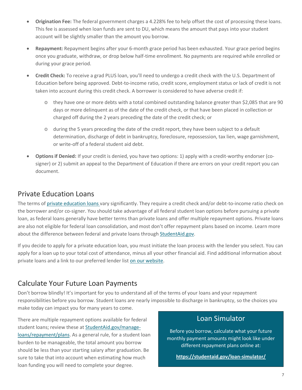- **Origination Fee:** The federal government charges a 4.228% fee to help offset the cost of processing these loans. This fee is assessed when loan funds are sent to DU, which means the amount that pays into your student account will be slightly smaller than the amount you borrow.
- **Repayment:** Repayment begins after your 6-month grace period has been exhausted. Your grace period begins once you graduate, withdraw, or drop below half-time enrollment. No payments are required while enrolled or during your grace period.
- **Credit Check:** To receive a grad PLUS loan, you'll need to undergo a credit check with the U.S. Department of Education before being approved. Debt-to-income ratio, credit score, employment status or lack of credit is not taken into account during this credit check. A borrower is considered to have adverse credit if:
	- $\circ$  they have one or more debts with a total combined outstanding balance greater than \$2,085 that are 90 days or more delinquent as of the date of the credit check, or that have been placed in collection or charged off during the 2 years preceding the date of the credit check; or
	- o during the 5 years preceding the date of the credit report, they have been subject to a default determination, discharge of debt in bankruptcy, foreclosure, repossession, tax lien, wage garnishment, or write-off of a federal student aid debt.
- **Options if Denied:** If your credit is denied, you have two options: 1) apply with a credit-worthy endorser (cosigner) or 2) submit an appeal to the Department of Education if there are errors on your credit report you can document.

#### Private Education Loans

The terms of [private education loans v](https://www.du.edu/admission-aid/financial-aid-scholarships/graduate-financial-aid/types-aid/loans#private)ary significantly. They require a credit check and/or debt-to-income ratio check on the borrower and/or co-signer. You should take advantage of all federal student loan options before pursuing a private loan, as federal loans generally have better terms than private loans and offer multiple repayment options. Private loans are also not eligible for federal loan consolidation, and most don't offer repayment plans based on income. Learn more about the difference between federal and private loans through [StudentAid.gov.](https://studentaid.gov/understand-aid/types/loans/federal-vs-private#if-you-need-to-borrow-money-to-pay-for-college-or-career-school-start-with-federal-loans)

If you decide to apply for a private education loan, you must initiate the loan process with the lender you select. You can apply for a loan up to your total cost of attendance, minus all your other financial aid. Find additional information about private loans and a link to our preferred lender lis[t on our website.](https://www.du.edu/admission-aid/financial-aid-scholarships/graduate-financial-aid/types-aid/loans#private)

### Calculate Your Future Loan Payments

Don't borrow blindly! It's important for you to understand all of the terms of your loans and your repayment responsibilities before you borrow. Student loans are nearly impossible to discharge in bankruptcy, so the choices you make today can impact you for many years to come.

There are multiple repayment options available for federal student loans; review these at [StudentAid.gov/manage](https://studentaid.gov/manage-loans/repayment/plans)loans/repayment/plans. As a general rule, for a student loan burden to be manageable, the total amount you borrow should be less than your starting salary after graduation. Be sure to take that into account when estimating how much loan funding you will need to complete your degree.

#### Loan Simulator

Before you borrow, calculate what your future monthly payment amounts might look like under different repayment plans online at:

**<https://studentaid.gov/loan-simulator/>**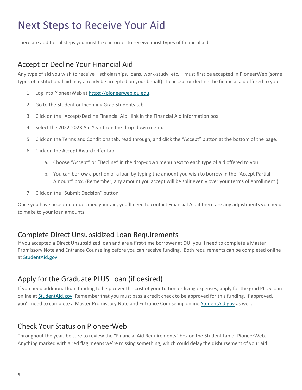# Next Steps to Receive Your Aid

There are additional steps you must take in order to receive most types of financial aid.

#### Accept or Decline Your Financial Aid

Any type of aid you wish to receive—scholarships, loans, work-study, etc.—must first be accepted in PioneerWeb (some types of institutional aid may already be accepted on your behalf). To accept or decline the financial aid offered to you:

- 1. Log into PioneerWeb at [https://pioneerweb.du.edu.](https://pioneerweb.du.edu/)
- 2. Go to the Student or Incoming Grad Students tab.
- 3. Click on the "Accept/Decline Financial Aid" link in the Financial Aid Information box.
- 4. Select the 2022-2023 Aid Year from the drop-down menu.
- 5. Click on the Terms and Conditions tab, read through, and click the "Accept" button at the bottom of the page.
- 6. Click on the Accept Award Offer tab.
	- a. Choose "Accept" or "Decline" in the drop-down menu next to each type of aid offered to you.
	- b. You can borrow a portion of a loan by typing the amount you wish to borrow in the "Accept Partial Amount" box. (Remember, any amount you accept will be split evenly over your terms of enrollment.)
- 7. Click on the "Submit Decision" button.

Once you have accepted or declined your aid, you'll need to contact Financial Aid if there are any adjustments you need to make to your loan amounts.

#### Complete Direct Unsubsidized Loan Requirements

If you accepted a Direct Unsubsidized loan and are a first-time borrower at DU, you'll need to complete a Master Promissory Note and Entrance Counseling before you can receive funding. Both requirements can be completed online a[t StudentAid.gov.](https://studentaid.gov/h/complete-aid-process)

### Apply for the Graduate PLUS Loan (if desired)

If you need additional loan funding to help cover the cost of your tuition or living expenses, apply for the grad PLUS loan online at [StudentAid.gov.](https://studentaid.gov/app/launchPLUS.action?plusType=gradPlus) Remember that you must pass a credit check to be approved for this funding. If approved, you'll need to complete a Master Promissory Note and Entrance Counseling online [StudentAid.gov](https://studentaid.gov/h/complete-aid-process) as well.

#### Check Your Status on PioneerWeb

Throughout the year, be sure to review the "Financial Aid Requirements" box on the Student tab of PioneerWeb. Anything marked with a red flag means we're missing something, which could delay the disbursement of your aid.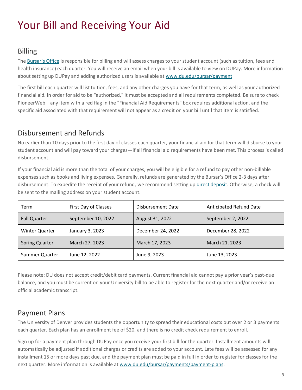# Your Bill and Receiving Your Aid

### Billing

The [Bursar's Office](https://www.du.edu/bursar/) is responsible for billing and will assess charges to your student account (such as tuition, fees and health insurance) each quarter. You will receive an email when your bill is available to view on DUPay. More information about setting up DUPay and adding authorized users is available at [www.du.edu/bursar/payment](http://www.du.edu/bursar/payment)

The first bill each quarter will list tuition, fees, and any other charges you have for that term, as well as your authorized financial aid. In order for aid to be "authorized," it must be accepted and all requirements completed. Be sure to check PioneerWeb—any item with a red flag in the "Financial Aid Requirements" box requires additional action, and the specific aid associated with that requirement will not appear as a credit on your bill until that item is satisfied.

### Disbursement and Refunds

No earlier than 10 days prior to the first day of classes each quarter, your financial aid for that term will disburse to your student account and will pay toward your charges—if all financial aid requirements have been met. This process is called disbursement.

If your financial aid is more than the total of your charges, you will be eligible for a refund to pay other non-billable expenses such as books and living expenses. Generally, refunds are generated by the Bursar's Office 2-3 days after disbursement. To expedite the receipt of your refund, we recommend setting up [direct deposit.](https://www.du.edu/bursar/direct-deposit) Otherwise, a check will be sent to the mailing address on your student account.

| Term                  | First Day of Classes | Disbursement Date | <b>Anticipated Refund Date</b> |
|-----------------------|----------------------|-------------------|--------------------------------|
| <b>Fall Quarter</b>   | September 10, 2022   | August 31, 2022   | September 2, 2022              |
| <b>Winter Quarter</b> | January 3, 2023      | December 24, 2022 | December 28, 2022              |
| <b>Spring Quarter</b> | March 27, 2023       | March 17, 2023    | March 21, 2023                 |
| Summer Quarter        | June 12, 2022        | June 9, 2023      | June 13, 2023                  |

Please note: DU does not accept credit/debit card payments. Current financial aid cannot pay a prior year's past-due balance, and you must be current on your University bill to be able to register for the next quarter and/or receive an official academic transcript.

### Payment Plans

The University of Denver provides students the opportunity to spread their educational costs out over 2 or 3 payments each quarter. Each plan has an enrollment fee of \$20, and there is no credit check requirement to enroll.

Sign up for a payment plan through DUPay once you receive your first bill for the quarter. Installment amounts will automatically be adjusted if additional charges or credits are added to your account. Late fees will be assessed for any installment 15 or more days past due, and the payment plan must be paid in full in order to register for classes for the next quarter. More information is available a[t www.du.edu/bursar/payments/payment-plans.](http://www.du.edu/bursar/payments/payment-plans)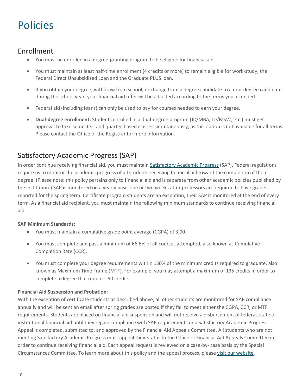# Policies

#### Enrollment

- You must be enrolled in a degree-granting program to be eligible for financial aid.
- You must maintain at least half-time enrollment (4 credits or more) to remain eligible for work-study, the Federal Direct Unsubsidized Loan and the Graduate PLUS loan.
- If you obtain your degree, withdraw from school, or change from a degree candidate to a non-degree candidate during the school year, your financial aid offer will be adjusted according to the terms you attended.
- Federal aid (including loans) can only be used to pay for courses needed to earn your degree.
- **Dual-degree enrollment:** Students enrolled in a dual-degree program (JD/MBA, JD/MSW, etc.) must get approval to take semester- and quarter-based classes simultaneously, as this option is not available for all terms. Please contact the Office of the Registrar for more information.

### Satisfactory Academic Progress (SAP)

In order continue receiving financial aid, you must maintain [Satisfactory Academic Progress](https://www.du.edu/admission-aid/financial-aid-scholarships/graduate-financial-aid/policies-maintaining-aid/sap) (SAP). Federal regulations require us to monitor the academic progress of all students receiving financial aid toward the completion of their degree. (Please note: this policy pertains only to financial aid and is separate from other academic policies published by the institution.) SAP is monitored on a yearly basis one or two weeks after professors are required to have grades reported for the spring term. Certificate program students are an exception; their SAP is monitored at the end of every term. As a financial aid recipient, you must maintain the following minimum standards to continue receiving financial aid.

#### **SAP Minimum Standards:**

- You must maintain a cumulative grade point average (CGPA) of 3.00.
- You must complete and pass a minimum of 66.6% of all courses attempted, also known as Cumulative Completion Rate (CCR).
- You must complete your degree requirements within 150% of the minimum credits required to graduate, also known as Maximum Time Frame (MTF). For example, you may attempt a maximum of 135 credits in order to complete a degree that requires 90 credits.

#### **Financial Aid Suspension and Probation:**

With the exception of certificate students as described above, all other students are monitored for SAP compliance annually and will be sent an email after spring grades are posted if they fail to meet either the CGPA, CCR, or MTF requirements. Students are placed on financial aid suspension and will not receive a disbursement of federal, state or institutional financial aid until they regain compliance with SAP requirements or a Satisfactory Academic Progress Appeal is completed, submitted to, and approved by the Financial Aid Appeals Committee. All students who are not meeting Satisfactory Academic Progress must appeal their status to the Office of Financial Aid Appeals Committee in order to continue receiving financial aid. Each appeal request is reviewed on a case-by- case basis by the Special Circumstances Committee. To learn more about this policy and the appeal process, please [visit our website.](https://www.du.edu/admission-aid/financial-aid-scholarships/graduate-financial-aid/policies-maintaining-aid/sap)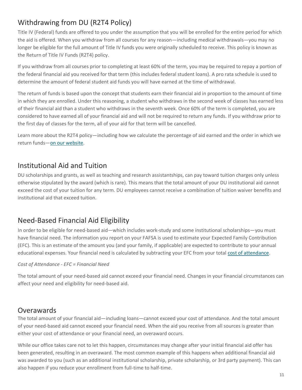# Withdrawing from DU (R2T4 Policy)

Title IV (Federal) funds are offered to you under the assumption that you will be enrolled for the entire period for which the aid is offered. When you withdraw from all courses for any reason—including medical withdrawals—you may no longer be eligible for the full amount of Title IV funds you were originally scheduled to receive. This policy is known as the Return of Title IV Funds (R2T4) policy.

If you withdraw from all courses prior to completing at least 60% of the term, you may be required to repay a portion of the federal financial aid you received for that term (this includes federal student loans). A pro rata schedule is used to determine the amount of federal student aid funds you will have earned at the time of withdrawal.

The return of funds is based upon the concept that students earn their financial aid in proportion to the amount of time in which they are enrolled. Under this reasoning, a student who withdraws in the second week of classes has earned less of their financial aid than a student who withdraws in the seventh week. Once 60% of the term is completed, you are considered to have earned all of your financial aid and will not be required to return any funds. If you withdraw prior to the first day of classes for the term, all of your aid for that term will be cancelled.

Learn more about the R2T4 policy—including how we calculate the percentage of aid earned and the order in which we return funds—[on our website.](https://www.du.edu/admission-aid/financial-aid-scholarships/graduate-financial-aid/policies-maintaining-aid/withdrawal)

#### Institutional Aid and Tuition

DU scholarships and grants, as well as teaching and research assistantships, can pay toward tuition charges only unless otherwise stipulated by the award (which is rare). This means that the total amount of your DU institutional aid cannot exceed the cost of your tuition for any term. DU employees cannot receive a combination of tuition waiver benefits and institutional aid that exceed tuition.

### Need-Based Financial Aid Eligibility

In order to be eligible for need-based aid—which includes work-study and some institutional scholarships—you must have financial need. The information you report on your FAFSA is used to estimate your Expected Family Contribution (EFC). This is an estimate of the amount you (and your family, if applicable) are expected to contribute to your annual educational expenses. Your financial need is calculated by subtracting your EFC from your total [cost of attendance.](https://www.du.edu/admission-aid/financial-aid-scholarships/graduate-cost-attendance)

#### *Cost of Attendance - EFC = Financial Need*

The total amount of your need-based aid cannot exceed your financial need. Changes in your financial circumstances can affect your need and eligibility for need-based aid.

#### **Overawards**

The total amount of your financial aid—including loans—cannot exceed your cost of attendance. And the total amount of your need-based aid cannot exceed your financial need. When the aid you receive from all sources is greater than either your cost of attendance or your financial need, an overaward occurs.

While our office takes care not to let this happen, circumstances may change after your initial financial aid offer has been generated, resulting in an overaward. The most common example of this happens when additional financial aid was awarded to you (such as an additional institutional scholarship, private scholarship, or 3rd party payment). This can also happen if you reduce your enrollment from full-time to half-time.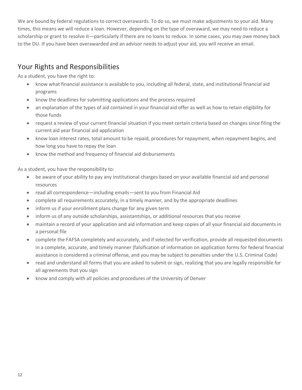We are bound by federal regulations to correct overawards. To do so, we must make adjustments to your aid. Many times, this means we will reduce a loan. However, depending on the type of overaward, we may need to reduce a scholarship or grant to resolve it—particularly if there are no loans to reduce. In some cases, you may owe money back to the DU. If you have been overawarded and an advisor needs to adjust your aid, you will receive an email.

### Your Rights and Responsibilities

As a student, you have the right to:

- know what financial assistance is available to you, including all federal, state, and institutional financial aid programs
- know the deadlines for submitting applications and the process required
- an explanation of the types of aid contained in your financial aid offer as well as how to retain eligibility for those funds
- request a review of your current financial situation if you meet certain criteria based on changes since filing the current aid year financial aid application
- know loan interest rates, total amount to be repaid, procedures for repayment, when repayment begins, and how long you have to repay the loan
- know the method and frequency of financial aid disbursements

As a student, you have the responsibility to:

- be aware of your ability to pay any institutional charges based on your available financial aid and personal resources
- read all correspondence—including emails—sent to you from Financial Aid
- complete all requirements accurately, in a timely manner, and by the appropriate deadlines
- inform us if your enrollment plans change for any given term
- inform us of any outside scholarships, assistantships, or additional resources that you receive
- maintain a record of your application and aid information and keep copies of all your financial aid documents in a personal file
- complete the FAFSA completely and accurately, and if selected for verification, provide all requested documents in a complete, accurate, and timely manner (falsification of information on application forms for federal financial assistance is considered a criminal offense, and you may be subject to penalties under the U.S. Criminal Code)
- read and understand all forms that you are asked to submit or sign, realizing that you are legally responsible for all agreements that you sign
- know and comply with all policies and procedures of the University of Denver